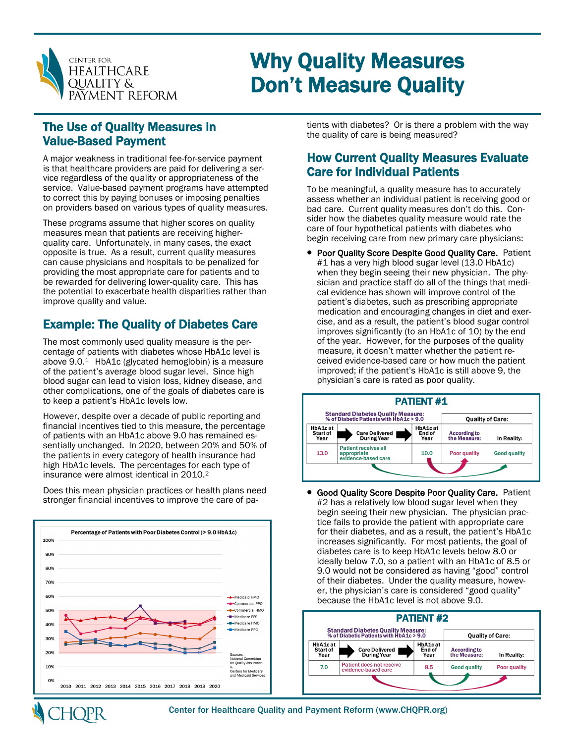

# Why Quality Measures Don't Measure Quality

#### The Use of Quality Measures in Value-Based Payment

A major weakness in traditional fee-for-service payment is that healthcare providers are paid for delivering a service regardless of the quality or appropriateness of the service. Value-based payment programs have attempted to correct this by paying bonuses or imposing penalties on providers based on various types of quality measures.

These programs assume that higher scores on quality measures mean that patients are receiving higherquality care. Unfortunately, in many cases, the exact opposite is true. As a result, current quality measures can cause physicians and hospitals to be penalized for providing the most appropriate care for patients and to be rewarded for delivering lower-quality care. This has the potential to exacerbate health disparities rather than improve quality and value.

## Example: The Quality of Diabetes Care

The most commonly used quality measure is the percentage of patients with diabetes whose HbA1c level is above 9.0.<sup>1</sup> HbA1c (glycated hemoglobin) is a measure of the patient's average blood sugar level. Since high blood sugar can lead to vision loss, kidney disease, and other complications, one of the goals of diabetes care is to keep a patient's HbA1c levels low.

However, despite over a decade of public reporting and financial incentives tied to this measure, the percentage of patients with an HbA1c above 9.0 has remained essentially unchanged. In 2020, between 20% and 50% of the patients in every category of health insurance had high HbA1c levels. The percentages for each type of insurance were almost identical in 2010.<sup>2</sup>

Does this mean physician practices or health plans need stronger financial incentives to improve the care of pa-



tients with diabetes? Or is there a problem with the way the quality of care is being measured?

#### How Current Quality Measures Evaluate Care for Individual Patients

To be meaningful, a quality measure has to accurately assess whether an individual patient is receiving good or bad care. Current quality measures don't do this. Consider how the diabetes quality measure would rate the care of four hypothetical patients with diabetes who begin receiving care from new primary care physicians:

• Poor Quality Score Despite Good Quality Care. Patient #1 has a very high blood sugar level (13.0 HbA1c) when they begin seeing their new physician. The physician and practice staff do all of the things that medical evidence has shown will improve control of the patient's diabetes, such as prescribing appropriate medication and encouraging changes in diet and exercise, and as a result, the patient's blood sugar control improves significantly (to an HbA1c of 10) by the end of the year. However, for the purposes of the quality measure, it doesn't matter whether the patient received evidence-based care or how much the patient improved; if the patient's HbA1c is still above 9, the physician's care is rated as poor quality.



• Good Quality Score Despite Poor Quality Care. Patient #2 has a relatively low blood sugar level when they begin seeing their new physician. The physician practice fails to provide the patient with appropriate care for their diabetes, and as a result, the patient's HbA1c increases significantly. For most patients, the goal of diabetes care is to keep HbA1c levels below 8.0 or ideally below 7.0, so a patient with an HbA1c of 8.5 or 9.0 would not be considered as having "good" control of their diabetes. Under the quality measure, however, the physician's care is considered "good quality" because the HbA1c level is not above 9.0.





Center for Healthcare Quality and Payment Reform (www.CHQPR.org)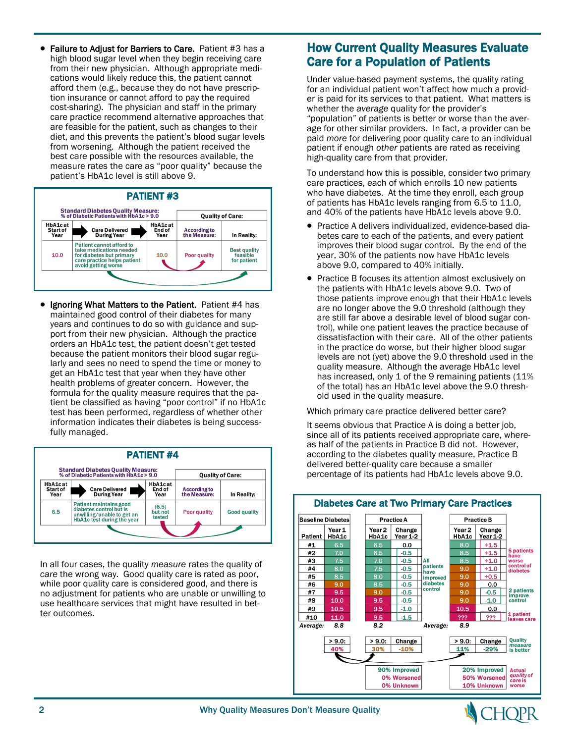• Failure to Adjust for Barriers to Care. Patient #3 has a high blood sugar level when they begin receiving care from their new physician. Although appropriate medications would likely reduce this, the patient cannot afford them (e.g., because they do not have prescription insurance or cannot afford to pay the required cost-sharing). The physician and staff in the primary care practice recommend alternative approaches that are feasible for the patient, such as changes to their diet, and this prevents the patient's blood sugar levels from worsening. Although the patient received the best care possible with the resources available, the measure rates the care as "poor quality" because the patient's HbA1c level is still above 9.



• Ignoring What Matters to the Patient. Patient #4 has maintained good control of their diabetes for many years and continues to do so with guidance and support from their new physician. Although the practice orders an HbA1c test, the patient doesn't get tested because the patient monitors their blood sugar regularly and sees no need to spend the time or money to get an HbA1c test that year when they have other health problems of greater concern. However, the formula for the quality measure requires that the patient be classified as having "poor control" if no HbA1c test has been performed, regardless of whether other information indicates their diabetes is being successfully managed.



In all four cases, the quality *measure* rates the quality of *care* the wrong way. Good quality care is rated as poor, while poor quality care is considered good, and there is no adjustment for patients who are unable or unwilling to use healthcare services that might have resulted in better outcomes.

#### How Current Quality Measures Evaluate Care for a Population of Patients

Under value-based payment systems, the quality rating for an individual patient won't affect how much a provider is paid for its services to that patient. What matters is whether the *average* quality for the provider's "population" of patients is better or worse than the average for other similar providers. In fact, a provider can be paid *more* for delivering poor quality care to an individual patient if enough *other* patients are rated as receiving high-quality care from that provider.

To understand how this is possible, consider two primary care practices, each of which enrolls 10 new patients who have diabetes. At the time they enroll, each group of patients has HbA1c levels ranging from 6.5 to 11.0, and 40% of the patients have HbA1c levels above 9.0.

- Practice A delivers individualized, evidence-based diabetes care to each of the patients, and every patient improves their blood sugar control. By the end of the year, 30% of the patients now have HbA1c levels above 9.0, compared to 40% initially.
- Practice B focuses its attention almost exclusively on the patients with HbA1c levels above 9.0. Two of those patients improve enough that their HbA1c levels are no longer above the 9.0 threshold (although they are still far above a desirable level of blood sugar control), while one patient leaves the practice because of dissatisfaction with their care. All of the other patients in the practice do worse, but their higher blood sugar levels are not (yet) above the 9.0 threshold used in the quality measure. Although the average HbA1c level has increased, only 1 of the 9 remaining patients (11% of the total) has an HbA1c level above the 9.0 threshold used in the quality measure.

Which primary care practice delivered better care?

It seems obvious that Practice A is doing a better job, since all of its patients received appropriate care, whereas half of the patients in Practice B did not. However, according to the diabetes quality measure, Practice B delivered better-quality care because a smaller percentage of its patients had HbA1c levels above 9.0.



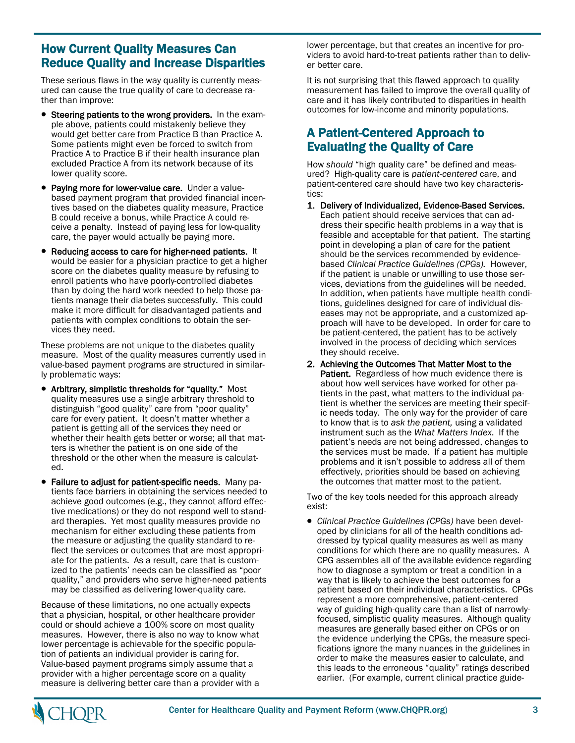#### How Current Quality Measures Can Reduce Quality and Increase Disparities

These serious flaws in the way quality is currently measured can cause the true quality of care to decrease rather than improve:

- Steering patients to the wrong providers. In the example above, patients could mistakenly believe they would get better care from Practice B than Practice A. Some patients might even be forced to switch from Practice A to Practice B if their health insurance plan excluded Practice A from its network because of its lower quality score.
- Paying more for lower-value care. Under a valuebased payment program that provided financial incentives based on the diabetes quality measure, Practice B could receive a bonus, while Practice A could receive a penalty. Instead of paying less for low-quality care, the payer would actually be paying more.
- Reducing access to care for higher-need patients. It would be easier for a physician practice to get a higher score on the diabetes quality measure by refusing to enroll patients who have poorly-controlled diabetes than by doing the hard work needed to help those patients manage their diabetes successfully. This could make it more difficult for disadvantaged patients and patients with complex conditions to obtain the services they need.

These problems are not unique to the diabetes quality measure. Most of the quality measures currently used in value-based payment programs are structured in similarly problematic ways:

- Arbitrary, simplistic thresholds for "quality." Most quality measures use a single arbitrary threshold to distinguish "good quality" care from "poor quality" care for every patient. It doesn't matter whether a patient is getting all of the services they need or whether their health gets better or worse; all that matters is whether the patient is on one side of the threshold or the other when the measure is calculated.
- Failure to adjust for patient-specific needs. Many patients face barriers in obtaining the services needed to achieve good outcomes (e.g., they cannot afford effective medications) or they do not respond well to standard therapies. Yet most quality measures provide no mechanism for either excluding these patients from the measure or adjusting the quality standard to reflect the services or outcomes that are most appropriate for the patients. As a result, care that is customized to the patients' needs can be classified as "poor quality," and providers who serve higher-need patients may be classified as delivering lower-quality care.

Because of these limitations, no one actually expects that a physician, hospital, or other healthcare provider could or should achieve a 100% score on most quality measures. However, there is also no way to know what lower percentage is achievable for the specific population of patients an individual provider is caring for. Value-based payment programs simply assume that a provider with a higher percentage score on a quality measure is delivering better care than a provider with a

lower percentage, but that creates an incentive for providers to avoid hard-to-treat patients rather than to deliver better care.

It is not surprising that this flawed approach to quality measurement has failed to improve the overall quality of care and it has likely contributed to disparities in health outcomes for low-income and minority populations.

### A Patient-Centered Approach to Evaluating the Quality of Care

How *should* "high quality care" be defined and measured? High-quality care is *patient-centered* care, and patient-centered care should have two key characteristics:

- 1. Delivery of Individualized, Evidence-Based Services. Each patient should receive services that can address their specific health problems in a way that is feasible and acceptable for that patient. The starting point in developing a plan of care for the patient should be the services recommended by evidencebased *Clinical Practice Guidelines (CPGs).* However, if the patient is unable or unwilling to use those services, deviations from the guidelines will be needed. In addition, when patients have multiple health conditions, guidelines designed for care of individual diseases may not be appropriate, and a customized approach will have to be developed. In order for care to be patient-centered, the patient has to be actively involved in the process of deciding which services they should receive.
- 2. Achieving the Outcomes That Matter Most to the Patient. Regardless of how much evidence there is about how well services have worked for other patients in the past, what matters to the individual patient is whether the services are meeting their specific needs today. The only way for the provider of care to know that is to *ask the patient,* using a validated instrument such as the *What Matters Index*. If the patient's needs are not being addressed, changes to the services must be made. If a patient has multiple problems and it isn't possible to address all of them effectively, priorities should be based on achieving the outcomes that matter most to the patient.

Two of the key tools needed for this approach already exist:

• *Clinical Practice Guidelines (CPGs)* have been developed by clinicians for all of the health conditions addressed by typical quality measures as well as many conditions for which there are no quality measures. A CPG assembles all of the available evidence regarding how to diagnose a symptom or treat a condition in a way that is likely to achieve the best outcomes for a patient based on their individual characteristics. CPGs represent a more comprehensive, patient-centered way of guiding high-quality care than a list of narrowlyfocused, simplistic quality measures. Although quality measures are generally based either on CPGs or on the evidence underlying the CPGs, the measure specifications ignore the many nuances in the guidelines in order to make the measures easier to calculate, and this leads to the erroneous "quality" ratings described earlier. (For example, current clinical practice guide-

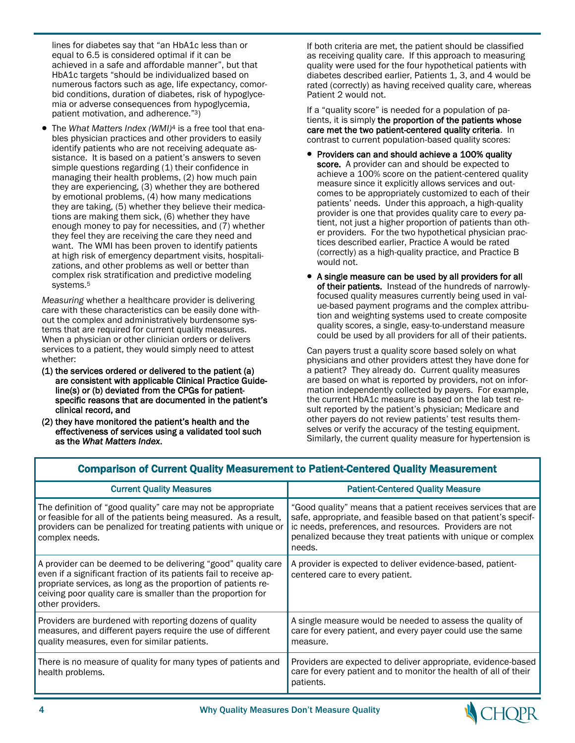lines for diabetes say that "an HbA1c less than or equal to 6.5 is considered optimal if it can be achieved in a safe and affordable manner", but that HbA1c targets "should be individualized based on numerous factors such as age, life expectancy, comorbid conditions, duration of diabetes, risk of hypoglycemia or adverse consequences from hypoglycemia, patient motivation, and adherence."3)

• The *What Matters Index (WMI)*<sup>4</sup> is a free tool that enables physician practices and other providers to easily identify patients who are not receiving adequate assistance. It is based on a patient's answers to seven simple questions regarding (1) their confidence in managing their health problems, (2) how much pain they are experiencing, (3) whether they are bothered by emotional problems, (4) how many medications they are taking, (5) whether they believe their medications are making them sick, (6) whether they have enough money to pay for necessities, and (7) whether they feel they are receiving the care they need and want. The WMI has been proven to identify patients at high risk of emergency department visits, hospitalizations, and other problems as well or better than complex risk stratification and predictive modeling systems.<sup>5</sup>

*Measuring* whether a healthcare provider is delivering care with these characteristics can be easily done without the complex and administratively burdensome systems that are required for current quality measures. When a physician or other clinician orders or delivers services to a patient, they would simply need to attest whether:

- (1) the services ordered or delivered to the patient (a) are consistent with applicable Clinical Practice Guideline(s) or (b) deviated from the CPGs for patientspecific reasons that are documented in the patient's clinical record, and
- (2) they have monitored the patient's health and the effectiveness of services using a validated tool such as the *What Matters Index*.

If both criteria are met, the patient should be classified as receiving quality care. If this approach to measuring quality were used for the four hypothetical patients with diabetes described earlier, Patients 1, 3, and 4 would be rated (correctly) as having received quality care, whereas Patient 2 would not.

If a "quality score" is needed for a population of patients, it is simply the proportion of the patients whose care met the two patient-centered quality criteria. In contrast to current population-based quality scores:

- Providers can and should achieve a 100% quality score. A provider can and should be expected to achieve a 100% score on the patient-centered quality measure since it explicitly allows services and outcomes to be appropriately customized to each of their patients' needs. Under this approach, a high-quality provider is one that provides quality care to *every* patient, not just a higher proportion of patients than other providers. For the two hypothetical physician practices described earlier, Practice A would be rated (correctly) as a high-quality practice, and Practice B would not.
- A single measure can be used by all providers for all of their patients. Instead of the hundreds of narrowlyfocused quality measures currently being used in value-based payment programs and the complex attribution and weighting systems used to create composite quality scores, a single, easy-to-understand measure could be used by all providers for all of their patients.

Can payers trust a quality score based solely on what physicians and other providers attest they have done for a patient? They already do. Current quality measures are based on what is reported by providers, not on information independently collected by payers. For example, the current HbA1c measure is based on the lab test result reported by the patient's physician; Medicare and other payers do not review patients' test results themselves or verify the accuracy of the testing equipment. Similarly, the current quality measure for hypertension is

| <b>Current Quality Measures</b>                                                                                                                                                                                                                                                          | <b>Patient-Centered Quality Measure</b>                                                                                                                                                                                                                                |
|------------------------------------------------------------------------------------------------------------------------------------------------------------------------------------------------------------------------------------------------------------------------------------------|------------------------------------------------------------------------------------------------------------------------------------------------------------------------------------------------------------------------------------------------------------------------|
| The definition of "good quality" care may not be appropriate<br>or feasible for all of the patients being measured. As a result,<br>providers can be penalized for treating patients with unique or<br>complex needs.                                                                    | "Good quality" means that a patient receives services that are<br>safe, appropriate, and feasible based on that patient's specif-<br>ic needs, preferences, and resources. Providers are not<br>penalized because they treat patients with unique or complex<br>needs. |
| A provider can be deemed to be delivering "good" quality care<br>even if a significant fraction of its patients fail to receive ap-<br>propriate services, as long as the proportion of patients re-<br>ceiving poor quality care is smaller than the proportion for<br>other providers. | A provider is expected to deliver evidence-based, patient-<br>centered care to every patient.                                                                                                                                                                          |
| Providers are burdened with reporting dozens of quality<br>measures, and different payers require the use of different<br>quality measures, even for similar patients.                                                                                                                   | A single measure would be needed to assess the quality of<br>care for every patient, and every payer could use the same<br>measure.                                                                                                                                    |
| There is no measure of quality for many types of patients and<br>health problems.                                                                                                                                                                                                        | Providers are expected to deliver appropriate, evidence-based<br>care for every patient and to monitor the health of all of their<br>patients.                                                                                                                         |

#### Comparison of Current Quality Measurement to Patient-Centered Quality Measurement